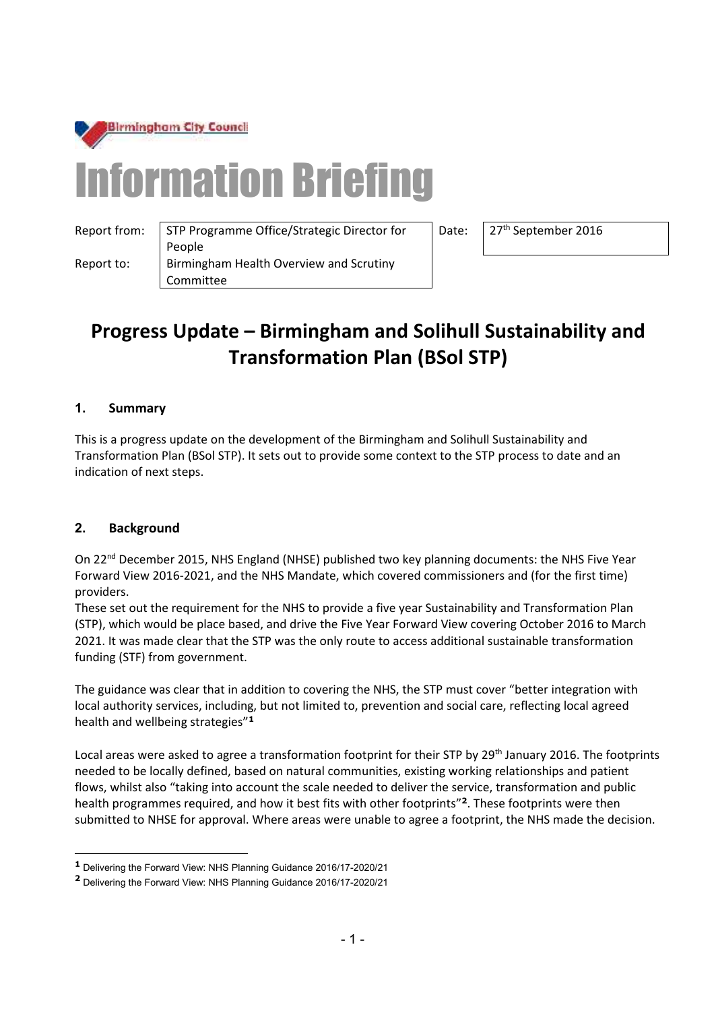

# Information Briefing

Report from:  $\vert$  STP Programme Office/Strategic Director for People Report to: | Birmingham Health Overview and Scrutiny Committee

Date: 27<sup>th</sup> September 2016

# **Progress Update – Birmingham and Solihull Sustainability and Transformation Plan (BSol STP)**

## **1. Summary**

This is a progress update on the development of the Birmingham and Solihull Sustainability and Transformation Plan (BSol STP). It sets out to provide some context to the STP process to date and an indication of next steps.

### **2. Background**

 $\overline{a}$ 

On 22<sup>nd</sup> December 2015, NHS England (NHSE) published two key planning documents: the NHS Five Year Forward View 2016-2021, and the NHS Mandate, which covered commissioners and (for the first time) providers.

These set out the requirement for the NHS to provide a five year Sustainability and Transformation Plan (STP), which would be place based, and drive the Five Year Forward View covering October 2016 to March 2021. It was made clear that the STP was the only route to access additional sustainable transformation funding (STF) from government.

The guidance was clear that in addition to covering the NHS, the STP must cover "better integration with local authority services, including, but not limited to, prevention and social care, reflecting local agreed health and wellbeing strategies"**<sup>1</sup>**

Local areas were asked to agree a transformation footprint for their STP by 29<sup>th</sup> January 2016. The footprints needed to be locally defined, based on natural communities, existing working relationships and patient flows, whilst also "taking into account the scale needed to deliver the service, transformation and public health programmes required, and how it best fits with other footprints"**<sup>2</sup>** . These footprints were then submitted to NHSE for approval. Where areas were unable to agree a footprint, the NHS made the decision.

**<sup>1</sup>** Delivering the Forward View: NHS Planning Guidance 2016/17-2020/21

**<sup>2</sup>** Delivering the Forward View: NHS Planning Guidance 2016/17-2020/21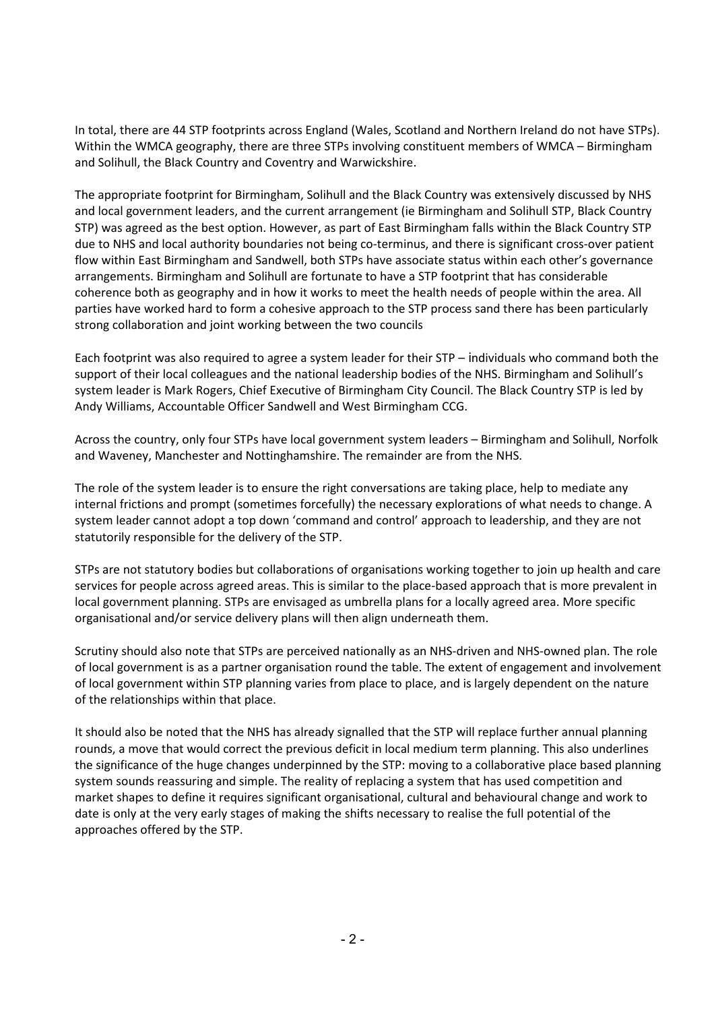In total, there are 44 STP footprints across England (Wales, Scotland and Northern Ireland do not have STPs). Within the WMCA geography, there are three STPs involving constituent members of WMCA – Birmingham and Solihull, the Black Country and Coventry and Warwickshire.

The appropriate footprint for Birmingham, Solihull and the Black Country was extensively discussed by NHS and local government leaders, and the current arrangement (ie Birmingham and Solihull STP, Black Country STP) was agreed as the best option. However, as part of East Birmingham falls within the Black Country STP due to NHS and local authority boundaries not being co-terminus, and there is significant cross-over patient flow within East Birmingham and Sandwell, both STPs have associate status within each other's governance arrangements. Birmingham and Solihull are fortunate to have a STP footprint that has considerable coherence both as geography and in how it works to meet the health needs of people within the area. All parties have worked hard to form a cohesive approach to the STP process sand there has been particularly strong collaboration and joint working between the two councils

Each footprint was also required to agree a system leader for their STP – individuals who command both the support of their local colleagues and the national leadership bodies of the NHS. Birmingham and Solihull's system leader is Mark Rogers, Chief Executive of Birmingham City Council. The Black Country STP is led by Andy Williams, Accountable Officer Sandwell and West Birmingham CCG.

Across the country, only four STPs have local government system leaders – Birmingham and Solihull, Norfolk and Waveney, Manchester and Nottinghamshire. The remainder are from the NHS.

The role of the system leader is to ensure the right conversations are taking place, help to mediate any internal frictions and prompt (sometimes forcefully) the necessary explorations of what needs to change. A system leader cannot adopt a top down 'command and control' approach to leadership, and they are not statutorily responsible for the delivery of the STP.

STPs are not statutory bodies but collaborations of organisations working together to join up health and care services for people across agreed areas. This is similar to the place-based approach that is more prevalent in local government planning. STPs are envisaged as umbrella plans for a locally agreed area. More specific organisational and/or service delivery plans will then align underneath them.

Scrutiny should also note that STPs are perceived nationally as an NHS-driven and NHS-owned plan. The role of local government is as a partner organisation round the table. The extent of engagement and involvement of local government within STP planning varies from place to place, and is largely dependent on the nature of the relationships within that place.

It should also be noted that the NHS has already signalled that the STP will replace further annual planning rounds, a move that would correct the previous deficit in local medium term planning. This also underlines the significance of the huge changes underpinned by the STP: moving to a collaborative place based planning system sounds reassuring and simple. The reality of replacing a system that has used competition and market shapes to define it requires significant organisational, cultural and behavioural change and work to date is only at the very early stages of making the shifts necessary to realise the full potential of the approaches offered by the STP.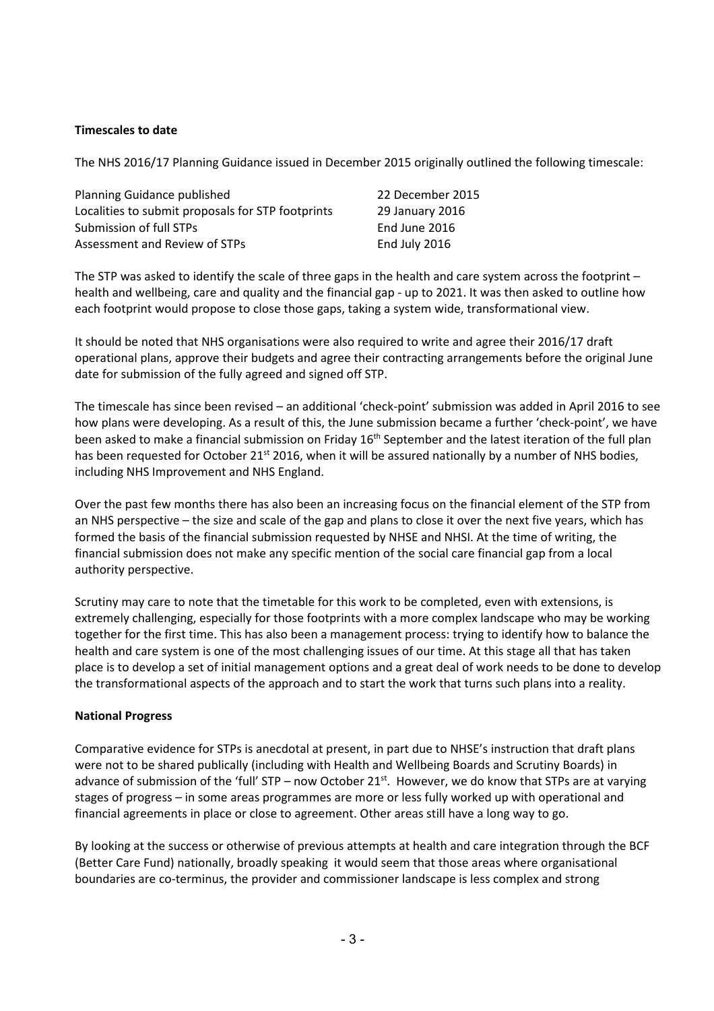#### **Timescales to date**

The NHS 2016/17 Planning Guidance issued in December 2015 originally outlined the following timescale:

| Planning Guidance published                       | 22 December 2015 |
|---------------------------------------------------|------------------|
| Localities to submit proposals for STP footprints | 29 January 2016  |
| Submission of full STPs                           | End June 2016    |
| Assessment and Review of STPs                     | End July 2016    |
|                                                   |                  |

The STP was asked to identify the scale of three gaps in the health and care system across the footprint – health and wellbeing, care and quality and the financial gap - up to 2021. It was then asked to outline how each footprint would propose to close those gaps, taking a system wide, transformational view.

It should be noted that NHS organisations were also required to write and agree their 2016/17 draft operational plans, approve their budgets and agree their contracting arrangements before the original June date for submission of the fully agreed and signed off STP.

The timescale has since been revised – an additional 'check-point' submission was added in April 2016 to see how plans were developing. As a result of this, the June submission became a further 'check-point', we have been asked to make a financial submission on Friday 16<sup>th</sup> September and the latest iteration of the full plan has been requested for October 21<sup>st</sup> 2016, when it will be assured nationally by a number of NHS bodies, including NHS Improvement and NHS England.

Over the past few months there has also been an increasing focus on the financial element of the STP from an NHS perspective – the size and scale of the gap and plans to close it over the next five years, which has formed the basis of the financial submission requested by NHSE and NHSI. At the time of writing, the financial submission does not make any specific mention of the social care financial gap from a local authority perspective.

Scrutiny may care to note that the timetable for this work to be completed, even with extensions, is extremely challenging, especially for those footprints with a more complex landscape who may be working together for the first time. This has also been a management process: trying to identify how to balance the health and care system is one of the most challenging issues of our time. At this stage all that has taken place is to develop a set of initial management options and a great deal of work needs to be done to develop the transformational aspects of the approach and to start the work that turns such plans into a reality.

#### **National Progress**

Comparative evidence for STPs is anecdotal at present, in part due to NHSE's instruction that draft plans were not to be shared publically (including with Health and Wellbeing Boards and Scrutiny Boards) in advance of submission of the 'full'  $STP$  – now October 21<sup>st</sup>. However, we do know that STPs are at varying stages of progress – in some areas programmes are more or less fully worked up with operational and financial agreements in place or close to agreement. Other areas still have a long way to go.

By looking at the success or otherwise of previous attempts at health and care integration through the BCF (Better Care Fund) nationally, broadly speaking it would seem that those areas where organisational boundaries are co-terminus, the provider and commissioner landscape is less complex and strong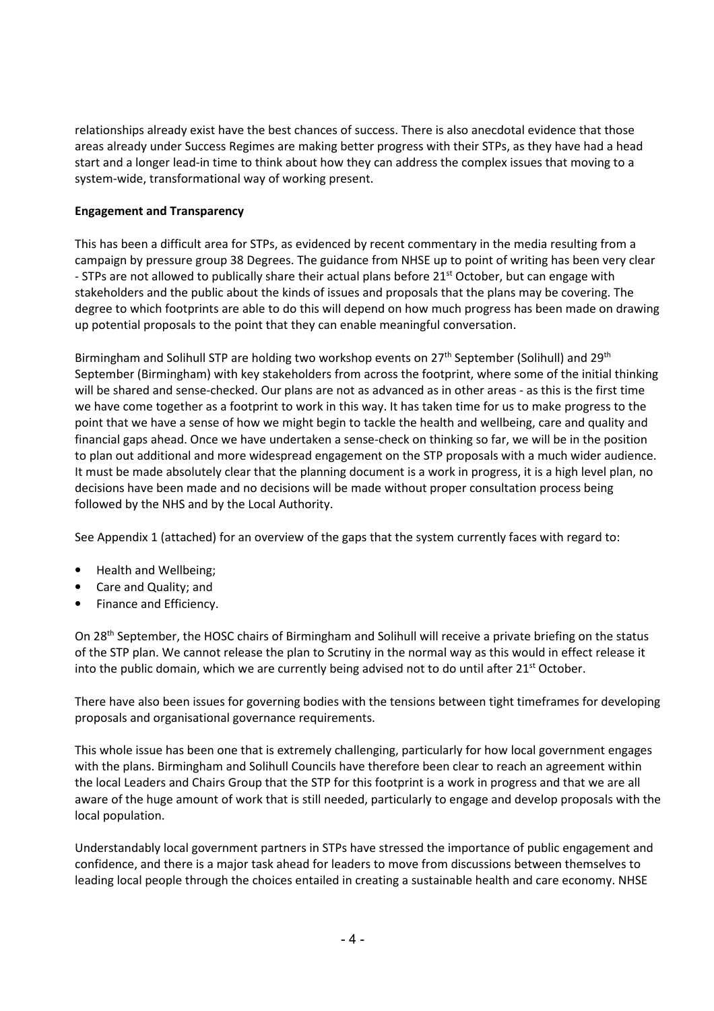relationships already exist have the best chances of success. There is also anecdotal evidence that those areas already under Success Regimes are making better progress with their STPs, as they have had a head start and a longer lead-in time to think about how they can address the complex issues that moving to a system-wide, transformational way of working present.

#### **Engagement and Transparency**

This has been a difficult area for STPs, as evidenced by recent commentary in the media resulting from a campaign by pressure group 38 Degrees. The guidance from NHSE up to point of writing has been very clear - STPs are not allowed to publically share their actual plans before 21<sup>st</sup> October, but can engage with stakeholders and the public about the kinds of issues and proposals that the plans may be covering. The degree to which footprints are able to do this will depend on how much progress has been made on drawing up potential proposals to the point that they can enable meaningful conversation.

Birmingham and Solihull STP are holding two workshop events on  $27<sup>th</sup>$  September (Solihull) and  $29<sup>th</sup>$ September (Birmingham) with key stakeholders from across the footprint, where some of the initial thinking will be shared and sense-checked. Our plans are not as advanced as in other areas - as this is the first time we have come together as a footprint to work in this way. It has taken time for us to make progress to the point that we have a sense of how we might begin to tackle the health and wellbeing, care and quality and financial gaps ahead. Once we have undertaken a sense-check on thinking so far, we will be in the position to plan out additional and more widespread engagement on the STP proposals with a much wider audience. It must be made absolutely clear that the planning document is a work in progress, it is a high level plan, no decisions have been made and no decisions will be made without proper consultation process being followed by the NHS and by the Local Authority.

See Appendix 1 (attached) for an overview of the gaps that the system currently faces with regard to:

- Health and Wellbeing;
- Care and Quality; and
- Finance and Efficiency.

On 28<sup>th</sup> September, the HOSC chairs of Birmingham and Solihull will receive a private briefing on the status of the STP plan. We cannot release the plan to Scrutiny in the normal way as this would in effect release it into the public domain, which we are currently being advised not to do until after  $21<sup>st</sup>$  October.

There have also been issues for governing bodies with the tensions between tight timeframes for developing proposals and organisational governance requirements.

This whole issue has been one that is extremely challenging, particularly for how local government engages with the plans. Birmingham and Solihull Councils have therefore been clear to reach an agreement within the local Leaders and Chairs Group that the STP for this footprint is a work in progress and that we are all aware of the huge amount of work that is still needed, particularly to engage and develop proposals with the local population.

Understandably local government partners in STPs have stressed the importance of public engagement and confidence, and there is a major task ahead for leaders to move from discussions between themselves to leading local people through the choices entailed in creating a sustainable health and care economy. NHSE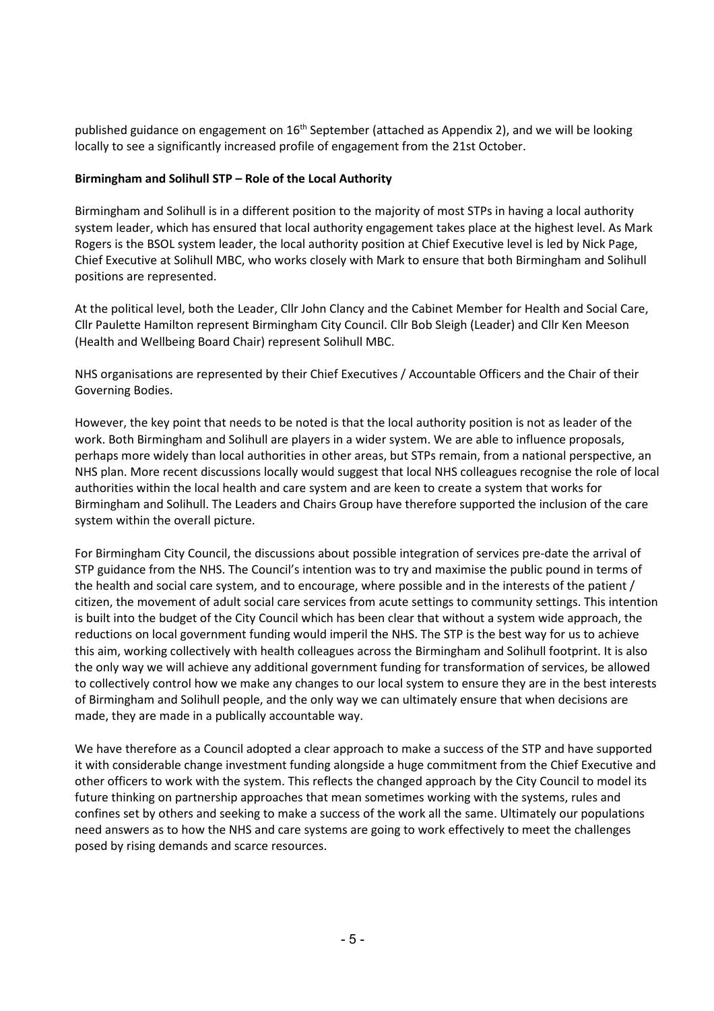published guidance on engagement on 16<sup>th</sup> September (attached as Appendix 2), and we will be looking locally to see a significantly increased profile of engagement from the 21st October.

#### **Birmingham and Solihull STP – Role of the Local Authority**

Birmingham and Solihull is in a different position to the majority of most STPs in having a local authority system leader, which has ensured that local authority engagement takes place at the highest level. As Mark Rogers is the BSOL system leader, the local authority position at Chief Executive level is led by Nick Page, Chief Executive at Solihull MBC, who works closely with Mark to ensure that both Birmingham and Solihull positions are represented.

At the political level, both the Leader, Cllr John Clancy and the Cabinet Member for Health and Social Care, Cllr Paulette Hamilton represent Birmingham City Council. Cllr Bob Sleigh (Leader) and Cllr Ken Meeson (Health and Wellbeing Board Chair) represent Solihull MBC.

NHS organisations are represented by their Chief Executives / Accountable Officers and the Chair of their Governing Bodies.

However, the key point that needs to be noted is that the local authority position is not as leader of the work. Both Birmingham and Solihull are players in a wider system. We are able to influence proposals, perhaps more widely than local authorities in other areas, but STPs remain, from a national perspective, an NHS plan. More recent discussions locally would suggest that local NHS colleagues recognise the role of local authorities within the local health and care system and are keen to create a system that works for Birmingham and Solihull. The Leaders and Chairs Group have therefore supported the inclusion of the care system within the overall picture.

For Birmingham City Council, the discussions about possible integration of services pre-date the arrival of STP guidance from the NHS. The Council's intention was to try and maximise the public pound in terms of the health and social care system, and to encourage, where possible and in the interests of the patient / citizen, the movement of adult social care services from acute settings to community settings. This intention is built into the budget of the City Council which has been clear that without a system wide approach, the reductions on local government funding would imperil the NHS. The STP is the best way for us to achieve this aim, working collectively with health colleagues across the Birmingham and Solihull footprint. It is also the only way we will achieve any additional government funding for transformation of services, be allowed to collectively control how we make any changes to our local system to ensure they are in the best interests of Birmingham and Solihull people, and the only way we can ultimately ensure that when decisions are made, they are made in a publically accountable way.

We have therefore as a Council adopted a clear approach to make a success of the STP and have supported it with considerable change investment funding alongside a huge commitment from the Chief Executive and other officers to work with the system. This reflects the changed approach by the City Council to model its future thinking on partnership approaches that mean sometimes working with the systems, rules and confines set by others and seeking to make a success of the work all the same. Ultimately our populations need answers as to how the NHS and care systems are going to work effectively to meet the challenges posed by rising demands and scarce resources.